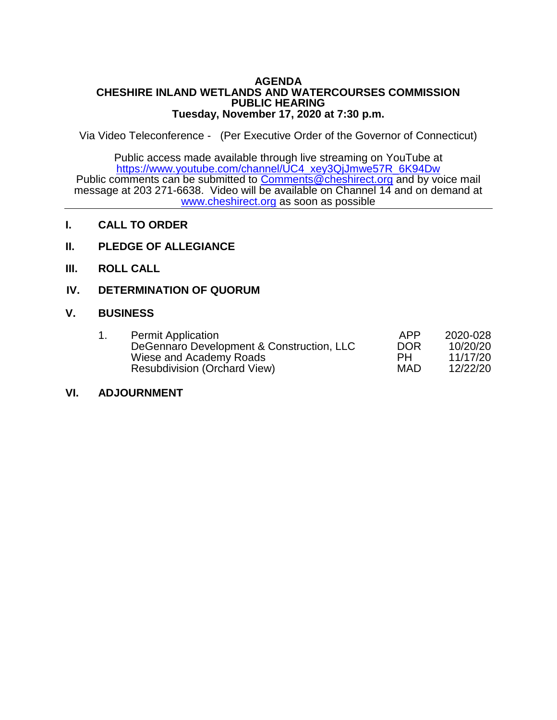#### **AGENDA CHESHIRE INLAND WETLANDS AND WATERCOURSES COMMISSION PUBLIC HEARING Tuesday, November 17, 2020 at 7:30 p.m.**

Via Video Teleconference - (Per Executive Order of the Governor of Connecticut)

Public access made available through live streaming on YouTube at [https://www.youtube.com/channel/UC4\\_xey3QjJmwe57R\\_6K94Dw](https://www.youtube.com/channel/UC4_xey3QjJmwe57R_6K94Dw) Public comments can be submitted to [Comments@cheshirect.org](mailto:Comments@cheshirect.org) and by voice mail message at 203 271-6638. Video will be available on Channel 14 and on demand at [www.cheshirect.org](http://www.cheshirect.org/) as soon as possible

- **I. CALL TO ORDER**
- **II. PLEDGE OF ALLEGIANCE**
- **III. ROLL CALL**
- **IV. DETERMINATION OF QUORUM**

### **V. BUSINESS**

|  | <b>Permit Application</b>                 | APP        | 2020-028 |
|--|-------------------------------------------|------------|----------|
|  | DeGennaro Development & Construction, LLC | <b>DOR</b> | 10/20/20 |
|  | Wiese and Academy Roads                   | PН         | 11/17/20 |
|  | <b>Resubdivision (Orchard View)</b>       | MAD        | 12/22/20 |

### **VI. ADJOURNMENT**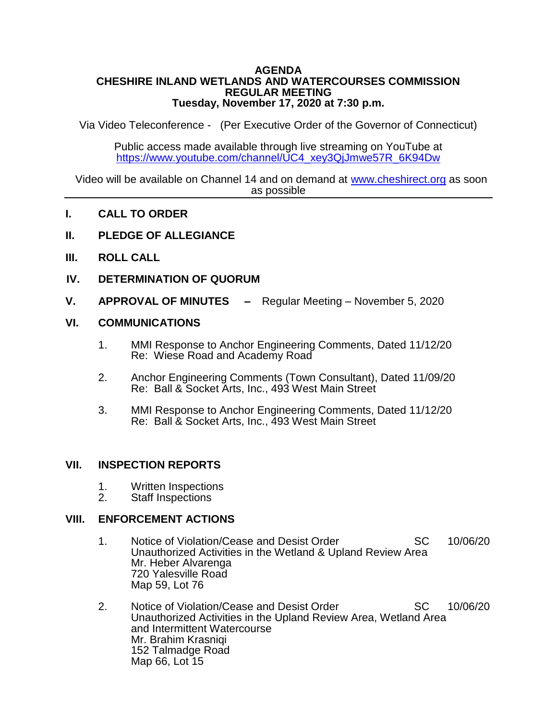#### **AGENDA CHESHIRE INLAND WETLANDS AND WATERCOURSES COMMISSION REGULAR MEETING Tuesday, November 17, 2020 at 7:30 p.m.**

Via Video Teleconference - (Per Executive Order of the Governor of Connecticut)

Public access made available through live streaming on YouTube at [https://www.youtube.com/channel/UC4\\_xey3QjJmwe57R\\_6K94Dw](https://www.youtube.com/channel/UC4_xey3QjJmwe57R_6K94Dw)

Video will be available on Channel 14 and on demand at [www.cheshirect.org](http://www.cheshirect.org/) as soon as possible

- **I. CALL TO ORDER**
- **II. PLEDGE OF ALLEGIANCE**
- **III. ROLL CALL**
- **IV. DETERMINATION OF QUORUM**
- **V. APPROVAL OF MINUTES –** Regular Meeting November 5, 2020

### **VI. COMMUNICATIONS**

- 1. MMI Response to Anchor Engineering Comments, Dated 11/12/20 Re: Wiese Road and Academy Road
- 2. Anchor Engineering Comments (Town Consultant), Dated 11/09/20 Re: Ball & Socket Arts, Inc., 493 West Main Street
- 3. MMI Response to Anchor Engineering Comments, Dated 11/12/20 Re: Ball & Socket Arts, Inc., 493 West Main Street

### **VII. INSPECTION REPORTS**

- 1. Written Inspections<br>2. Staff Inspections
- Staff Inspections

### **VIII. ENFORCEMENT ACTIONS**

- 1. Notice of Violation/Cease and Desist Order SC 10/06/20 Unauthorized Activities in the Wetland & Upland Review Area Mr. Heber Alvarenga 720 Yalesville Road Map 59, Lot 76
- 2. Notice of Violation/Cease and Desist Order SC 10/06/20 Unauthorized Activities in the Upland Review Area, Wetland Area and Intermittent Watercourse Mr. Brahim Krasniqi 152 Talmadge Road Map 66, Lot 15